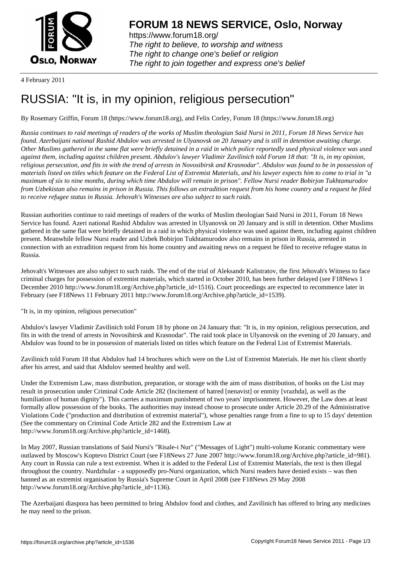

https://www.forum18.org/ The right to believe, to worship and witness The right to change one's belief or religion [The right to join together a](https://www.forum18.org/)nd express one's belief

4 February 2011

## [RUSSIA: "It is, i](https://www.forum18.org)n my opinion, religious persecution"

By Rosemary Griffin, Forum 18 (https://www.forum18.org), and Felix Corley, Forum 18 (https://www.forum18.org)

*Russia continues to raid meetings of readers of the works of Muslim theologian Said Nursi in 2011, Forum 18 News Service has found. Azerbaijani national Rashid Abdulov was arrested in Ulyanovsk on 20 January and is still in detention awaiting charge. Other Muslims gathered in the same flat were briefly detained in a raid in which police reportedly used physical violence was used against them, including against children present. Abdulov's lawyer Vladimir Zavilinich told Forum 18 that: "It is, in my opinion, religious persecution, and fits in with the trend of arrests in Novosibirsk and Krasnodar". Abdulov was found to be in possession of materials listed on titles which feature on the Federal List of Extremist Materials, and his lawyer expects him to come to trial in "a maximum of six to nine months, during which time Abdulov will remain in prison". Fellow Nursi reader Bobirjon Tukhtamurodov from Uzbekistan also remains in prison in Russia. This follows an extradition request from his home country and a request he filed to receive refugee status in Russia. Jehovah's Witnesses are also subject to such raids.*

Russian authorities continue to raid meetings of readers of the works of Muslim theologian Said Nursi in 2011, Forum 18 News Service has found. Azeri national Rashid Abdulov was arrested in Ulyanovsk on 20 January and is still in detention. Other Muslims gathered in the same flat were briefly detained in a raid in which physical violence was used against them, including against children present. Meanwhile fellow Nursi reader and Uzbek Bobirjon Tukhtamurodov also remains in prison in Russia, arrested in connection with an extradition request from his home country and awaiting news on a request he filed to receive refugee status in Russia.

Jehovah's Witnesses are also subject to such raids. The end of the trial of Aleksandr Kalistratov, the first Jehovah's Witness to face criminal charges for possession of extremist materials, which started in October 2010, has been further delayed (see F18News 1 December 2010 http://www.forum18.org/Archive.php?article\_id=1516). Court proceedings are expected to recommence later in February (see F18News 11 February 2011 http://www.forum18.org/Archive.php?article\_id=1539).

"It is, in my opinion, religious persecution"

Abdulov's lawyer Vladimir Zavilinich told Forum 18 by phone on 24 January that: "It is, in my opinion, religious persecution, and fits in with the trend of arrests in Novosibirsk and Krasnodar". The raid took place in Ulyanovsk on the evening of 20 January, and Abdulov was found to be in possession of materials listed on titles which feature on the Federal List of Extremist Materials.

Zavilinich told Forum 18 that Abdulov had 14 brochures which were on the List of Extremist Materials. He met his client shortly after his arrest, and said that Abdulov seemed healthy and well.

Under the Extremism Law, mass distribution, preparation, or storage with the aim of mass distribution, of books on the List may result in prosecution under Criminal Code Article 282 (Incitement of hatred [nenavist] or enmity [vrazhda], as well as the humiliation of human dignity"). This carries a maximum punishment of two years' imprisonment. However, the Law does at least formally allow possession of the books. The authorities may instead choose to prosecute under Article 20.29 of the Administrative Violations Code ("production and distribution of extremist material"), whose penalties range from a fine to up to 15 days' detention (See the commentary on Criminal Code Article 282 and the Extremism Law at http://www.forum18.org/Archive.php?article\_id=1468).

In May 2007, Russian translations of Said Nursi's "Risale-i Nur" ("Messages of Light") multi-volume Koranic commentary were outlawed by Moscow's Koptevo District Court (see F18News 27 June 2007 http://www.forum18.org/Archive.php?article\_id=981). Any court in Russia can rule a text extremist. When it is added to the Federal List of Extremist Materials, the text is then illegal throughout the country. Nurdzhular - a supposedly pro-Nursi organization, which Nursi readers have denied exists – was then banned as an extremist organisation by Russia's Supreme Court in April 2008 (see F18News 29 May 2008 http://www.forum18.org/Archive.php?article\_id=1136).

The Azerbaijani diaspora has been permitted to bring Abdulov food and clothes, and Zavilinich has offered to bring any medicines he may need to the prison.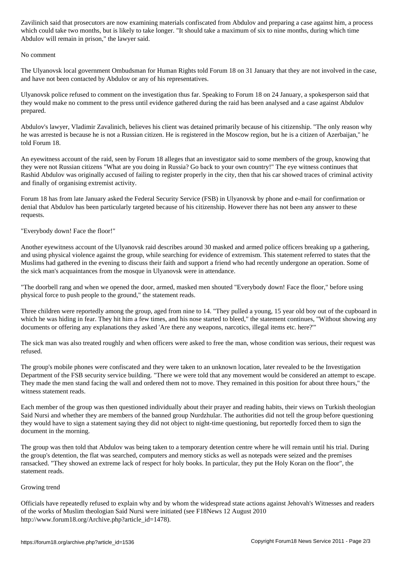which could take two months, but is likely to take a maximum of six to nine months, during which time  $\mu$ Abdulov will remain in prison," the lawyer said.

## No comment

The Ulyanovsk local government Ombudsman for Human Rights told Forum 18 on 31 January that they are not involved in the case, and have not been contacted by Abdulov or any of his representatives.

Ulyanovsk police refused to comment on the investigation thus far. Speaking to Forum 18 on 24 January, a spokesperson said that they would make no comment to the press until evidence gathered during the raid has been analysed and a case against Abdulov prepared.

Abdulov's lawyer, Vladimir Zavalinich, believes his client was detained primarily because of his citizenship. "The only reason why he was arrested is because he is not a Russian citizen. He is registered in the Moscow region, but he is a citizen of Azerbaijan," he told Forum 18.

An eyewitness account of the raid, seen by Forum 18 alleges that an investigator said to some members of the group, knowing that they were not Russian citizens "What are you doing in Russia? Go back to your own country!" The eye witness continues that Rashid Abdulov was originally accused of failing to register properly in the city, then that his car showed traces of criminal activity and finally of organising extremist activity.

Forum 18 has from late January asked the Federal Security Service (FSB) in Ulyanovsk by phone and e-mail for confirmation or denial that Abdulov has been particularly targeted because of his citizenship. However there has not been any answer to these requests.

"Everybody down! Face the floor!"

Another eyewitness account of the Ulyanovsk raid describes around 30 masked and armed police officers breaking up a gathering, and using physical violence against the group, while searching for evidence of extremism. This statement referred to states that the Muslims had gathered in the evening to discuss their faith and support a friend who had recently undergone an operation. Some of the sick man's acquaintances from the mosque in Ulyanovsk were in attendance.

"The doorbell rang and when we opened the door, armed, masked men shouted "Everybody down! Face the floor," before using physical force to push people to the ground," the statement reads.

Three children were reportedly among the group, aged from nine to 14. "They pulled a young, 15 year old boy out of the cupboard in which he was hiding in fear. They hit him a few times, and his nose started to bleed," the statement continues, "Without showing any documents or offering any explanations they asked 'Are there any weapons, narcotics, illegal items etc. here?'"

The sick man was also treated roughly and when officers were asked to free the man, whose condition was serious, their request was refused.

The group's mobile phones were confiscated and they were taken to an unknown location, later revealed to be the Investigation Department of the FSB security service building. "There we were told that any movement would be considered an attempt to escape. They made the men stand facing the wall and ordered them not to move. They remained in this position for about three hours," the witness statement reads.

Each member of the group was then questioned individually about their prayer and reading habits, their views on Turkish theologian Said Nursi and whether they are members of the banned group Nurdzhular. The authorities did not tell the group before questioning they would have to sign a statement saying they did not object to night-time questioning, but reportedly forced them to sign the document in the morning.

The group was then told that Abdulov was being taken to a temporary detention centre where he will remain until his trial. During the group's detention, the flat was searched, computers and memory sticks as well as notepads were seized and the premises ransacked. "They showed an extreme lack of respect for holy books. In particular, they put the Holy Koran on the floor", the statement reads.

## Growing trend

Officials have repeatedly refused to explain why and by whom the widespread state actions against Jehovah's Witnesses and readers of the works of Muslim theologian Said Nursi were initiated (see F18News 12 August 2010 http://www.forum18.org/Archive.php?article\_id=1478).